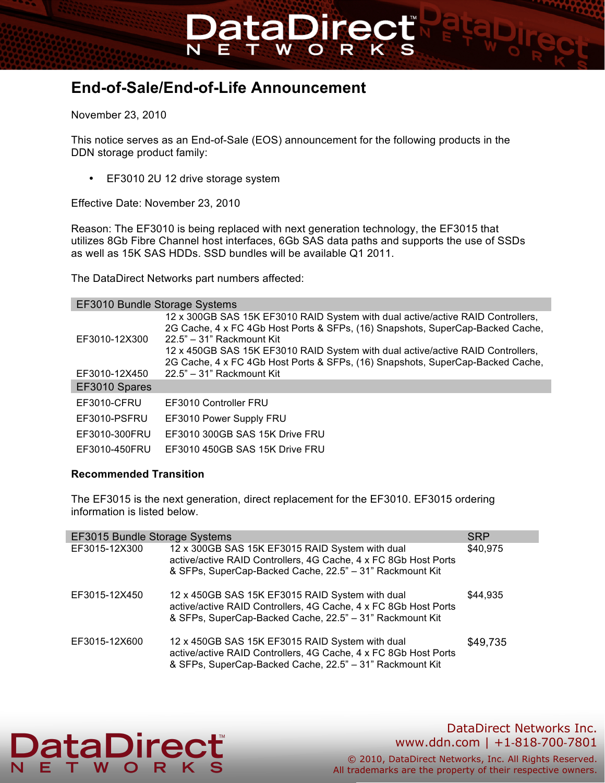# **End-of-Sale/End-of-Life Announcement**

November 23, 2010

This notice serves as an End-of-Sale (EOS) announcement for the following products in the DDN storage product family:

**DataDirec** 

• EF3010 2U 12 drive storage system

Effective Date: November 23, 2010

Reason: The EF3010 is being replaced with next generation technology, the EF3015 that utilizes 8Gb Fibre Channel host interfaces, 6Gb SAS data paths and supports the use of SSDs as well as 15K SAS HDDs. SSD bundles will be available Q1 2011.

The DataDirect Networks part numbers affected:

| EF3010 Bundle Storage Systems |                                                                                                                                                                                                                                                                                                                                                                       |  |  |
|-------------------------------|-----------------------------------------------------------------------------------------------------------------------------------------------------------------------------------------------------------------------------------------------------------------------------------------------------------------------------------------------------------------------|--|--|
| EF3010-12X300                 | 12 x 300GB SAS 15K EF3010 RAID System with dual active/active RAID Controllers,<br>2G Cache, 4 x FC 4Gb Host Ports & SFPs, (16) Snapshots, SuperCap-Backed Cache,<br>$22.5" - 31"$ Rackmount Kit<br>12 x 450GB SAS 15K EF3010 RAID System with dual active/active RAID Controllers,<br>2G Cache, 4 x FC 4Gb Host Ports & SFPs, (16) Snapshots, SuperCap-Backed Cache, |  |  |
| EF3010-12X450                 | 22.5" - 31" Rackmount Kit                                                                                                                                                                                                                                                                                                                                             |  |  |
| EF3010 Spares                 |                                                                                                                                                                                                                                                                                                                                                                       |  |  |
| EF3010-CFRU                   | EF3010 Controller FRU                                                                                                                                                                                                                                                                                                                                                 |  |  |
| EF3010-PSFRU                  | EF3010 Power Supply FRU                                                                                                                                                                                                                                                                                                                                               |  |  |
| EF3010-300FRU                 | EF3010 300GB SAS 15K Drive FRU                                                                                                                                                                                                                                                                                                                                        |  |  |
| EF3010-450FRU                 | EF3010 450GB SAS 15K Drive FRU                                                                                                                                                                                                                                                                                                                                        |  |  |

### **Recommended Transition**

The EF3015 is the next generation, direct replacement for the EF3010. EF3015 ordering information is listed below.

| EF3015 Bundle Storage Systems<br><b>SRP</b> |                                                                                                                                                                                |          |
|---------------------------------------------|--------------------------------------------------------------------------------------------------------------------------------------------------------------------------------|----------|
| EF3015-12X300                               | 12 x 300GB SAS 15K EF3015 RAID System with dual<br>active/active RAID Controllers, 4G Cache, 4 x FC 8Gb Host Ports<br>& SFPs, SuperCap-Backed Cache, 22.5" - 31" Rackmount Kit | \$40,975 |
| EF3015-12X450                               | 12 x 450GB SAS 15K EF3015 RAID System with dual<br>active/active RAID Controllers, 4G Cache, 4 x FC 8Gb Host Ports<br>& SFPs, SuperCap-Backed Cache, 22.5" - 31" Rackmount Kit | \$44.935 |
| EF3015-12X600                               | 12 x 450GB SAS 15K EF3015 RAID System with dual<br>active/active RAID Controllers, 4G Cache, 4 x FC 8Gb Host Ports<br>& SFPs, SuperCap-Backed Cache, 22.5" - 31" Rackmount Kit | \$49,735 |

# **DataDire**

# DataDirect Networks Inc. www.ddn.com | +1-818-700-7801

© 2010, DataDirect Networks, Inc. All Rights Reserved. All trademarks are the property of their respective owners.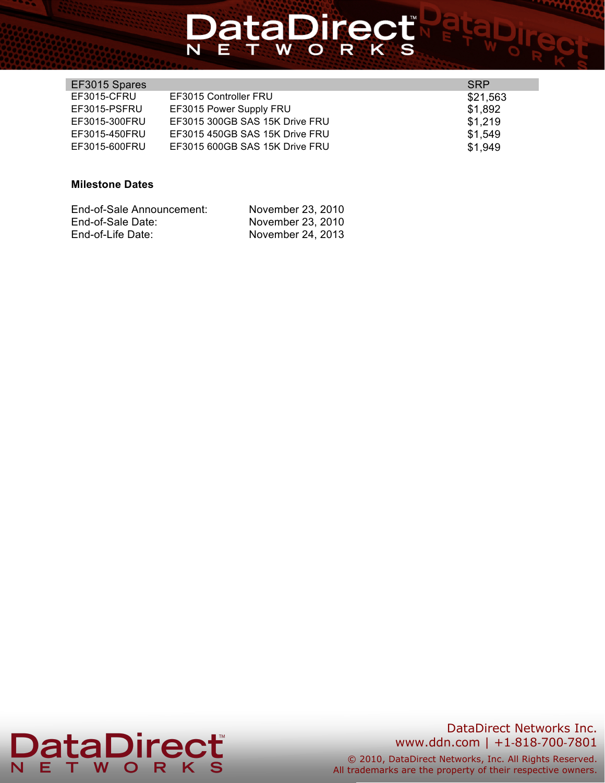# **DataDirect**

| EF3015 Spares |                                | SRP      |
|---------------|--------------------------------|----------|
| EF3015-CFRU   | EF3015 Controller FRU          | \$21,563 |
| EF3015-PSFRU  | EF3015 Power Supply FRU        | \$1,892  |
| EF3015-300FRU | EF3015 300GB SAS 15K Drive FRU | \$1,219  |
| EF3015-450FRU | EF3015 450GB SAS 15K Drive FRU | \$1,549  |
| EF3015-600FRU | EF3015 600GB SAS 15K Drive FRU | \$1,949  |

## **Milestone Dates**

| End-of-Sale Announcement: | November 23, 2010 |
|---------------------------|-------------------|
| End-of-Sale Date:         | November 23, 2010 |
| End-of-Life Date:         | November 24, 2013 |



# DataDirect Networks Inc. www.ddn.com | +1-818-700-7801

© 2010, DataDirect Networks, Inc. All Rights Reserved. All trademarks are the property of their respective owners.